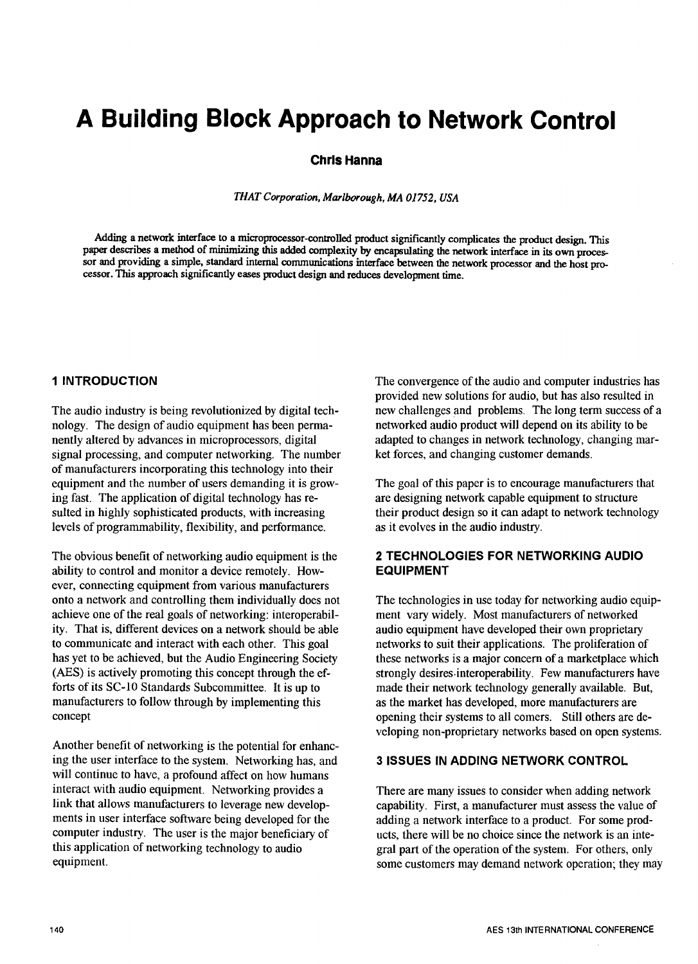# A Building Block Approach to Network Control

### Chris Hanna

**THATCorporation***,***Marlborough,MA01752, USA**

Adding a network interface to a microprocessor-controlled product significantly complicates the product design. This paper describes a method of minimizing this added complexity by encapsulating the network interface in its own processor and providing a simple, standard internal communications interface between the network processor and the host processor. This approach significantly eases product design and reduces development time.

The audio industry is being revolutionized by digital tech-<br>new challenges and problems. The long term success of<br>networked audio product will depend on its ability to be<br> $\frac{1}{2}$ nology. The design of audio equipment has been perma-<br>
networked audio product will depend on its ability to be<br>
network technology, changing mar-<br>
network technology, changing marnently altered by advances in microprocessors, digital adapted to changes in network technology, changing mar-<br>signal processing, and computer networking. The number ket forces, and changing customer demands. signal processing, and computer networking. The number of manufacturers inc*o*rporating this techn*o*logy into their equipment and the number of users demanding it is grow-<br>
The goal of this paper is to encourage manufacturers that<br>
ing fast. The application of digital technology has re-<br>
are designing network capable equipment to struct ing fast. The application of digital technology has resulted in highly sophisticated products, with increasing levels of programmability, flexibility, and performance,

The *o*bvious benefit of networking audio equipment is the *2 TECHNOLOGIES F*O*R NE*T*W*O*R*K*ING AUDI*O ability to control and monitor a device remotely. However, connecting equipment from vari*o*us manufacturers onto a network and controlling them individually does not<br>achieve one of the real goals of networking: interoperabil-<br>ment vary widely. Most manufacturers of networked achieve one of the real goals of networking: interoperabil-<br>ity. That is, different devices on a network should be able<br>audio equipment have developed their own proprietary ity. That is, different devices on a network should be able to communicate and interact with each other. This goal has yet to be achieved, but the Audio Engineering Society (AES) is actively promoting this concept through the efforts of its SC-10 Standards Subcommittee. It is up to manufacturers to follow through by implementing this manufacturers to follow through by implementing this as the market has developed, more manufacturers are concept<br>concept opening their systems to all comers. Still others are

Another benefit *o*f networking is the potential for enhancing the user interface to the system. Networking has, and **3 ISSUES IN ADDING NETWORK CONTROL** will continue to have, a profound affect on how humans interact with audio equipment. Networking provides a interact with audio equipment. Networking provides a There are many issues to consider when adding network<br>link that allows manufacturers to leverage new develop-capability. First, a manufacturer must assess the value o ments in user interface software being developed for the computer industry. The user is the major beneficiary of this application of networking technology to audio gral part of the operation of the system. For others, only equipment.

1 I*NTRODUCT*I*ON* The convergence of the audio and c*o*mputer *i*ndust*r*ies has provided new solutions for audio, but has also resulted in new challenges and problems. The long term success of a

their product design so it can adapt to network technology as it evolves in the audio industry.

networks to suit their applications. The proliferation of these networks is a major concern of a marketplace which strongly desires interoperability. Few manufacturers have made their network technology generally available. But, opening their systems to all comers. Still others are developing non-proprietary networks based on open systems.

capability. First, a manufacturer must assess the value of adding a network interface to a product. For some products, there will be no choice since the network is an intesome customers may demand network operation; they may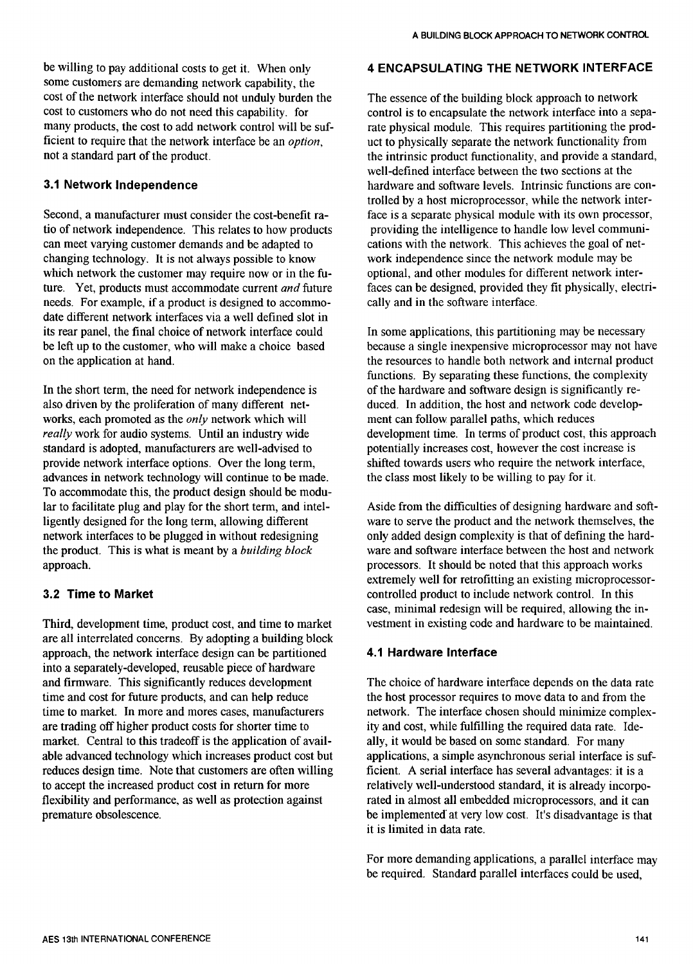be willing to pay additional costs to get it. When only **4 ENCAPSULATING THE NETWORK INTERFACE** some customers are demanding network capability, the cost of the network interface should not unduly burden the The essence of the building block approach to network<br>cost to customers who do not need this capability, for control is to encapsulate the network interface into a cost to customers who do not need this capability. for control is to encapsulate the network interface into a sepa-<br>many products, the cost to add network control will be suf-<br>rate physical module. This requires partitioni many products, the cost to add network control will be suf-<br>ficient to require that the network interface be an *option*,  $\qquad$  uct to physically separate the network functionality from ficient to require that the network interface be an *option*, we uct to physically separate the network functionality from not a standard part of the product.

Second, a manufacturer must consider the cost-benefit ra-<br>tio of network independence. This relates to how products providing the intelligence to handle low level communitio of network independence. This relates to how products can meet varying customer demands and be adapted to cations with the network. This achieves the goal of net-<br>changing technology. It is not always possible to know work independence since the network module may be changing technology. It is not always possible to know work independence since the network module may be which network the customer may require now or in the fu-<br>optional, and other modules for different network interwhich network the customer may require now or in the fu-<br>ture. Yet, products must accommodate current *and* future faces can be designed, provided they fit physically, electriture. Yet, products must accommodate current *and* future faces can be designed, provided the needs. For example, if a product is designed to accommo-<br>cally and in the software interface. needs. For example, if a product is designed to accommodate different network interfaces via a well defined slot in its rear panel, the final choice of network interface could<br>be left up to the customer, who will make a choice based because a single inexpensive microprocessor may not have be left up to the customer, who will make a choice based on the application at hand.

In the short term, the need for network independence is also driven by the proliferation of many different networks, each promoted as the *only* network which will really work for audio systems. Until an industry wide standard is adopted, manufacturers are well-advised to provide network interface options. Over the long term, advances in network technology will continue to be made. To accommodate this, the product design should be modu-<br>lar to facilitate plug and play for the short term, and intelligently designed for the long term, allowing different network interfaces to be plugged in without redesigning network interfaces to be plugged in without redesigning only added design complexity is that of defining the hard-<br>the product. This is what is meant by a *building block* ware and software interface between the host and n the product. This is what is meant by a *building block* ware and software interface between the host and network approach.<br>
processors. It should be noted that this approach works

Third, development time, product cost, and time to market are all interrelated concerns. By adopting a building block approach, the network interface design can be partiti*o*ned 4.1 Hardware Interface into a separately-developed, reusable piece of hardware and firmware. This significantly reduces development The choice of hardware interface depends on the data rate time and cost for future products, and can help reduce the host processor requires to move data to and from the time and cost for future products, and can help reduce the host processor requires to move data to and from the time to market. In more and mores cases, manufacturers entertainty. The interface chosen should minimize compl time to market. In more and mores cases, manufacturers network. The interface chosen should minimize complex-<br>are trading off higher product costs for shorter time to ity and cost, while fulfilling the required data rate. market. Central to this tradeoff is the application of avail-<br>ally, it would be based on some standard. For many<br>able advanced technology which increases product cost but<br>applications, a simple asynchronous serial interfac able advanced technology which increases product cost but reduces design time. Note that customers are often willing reduces design time. Note that customers are often willing ficient. A serial interface has several advantages: it is a<br>to accept the increased product cost in return for more relatively well-understood standard, it is alre to accept the increased product cost in return for more relatively well-understood standard, it is already incorpo-<br>flexibility and performance, as well as protection against rated in almost all embedded microprocessors, a flexibility and performance, as well as protection against rated in almost all embedded microprocessors, and it can<br>be implemented at very low cost. It's disadvantage is that

the intrinsic product functionality, and provide a standard, well-defined interface between the two sections at the **3.1 Network Independence hardware and software levels. Intrinsic functions are con**trolled by a host microprocessor, while the network inter-<br>face is a separate physical module with its own processor,

> the resources to handle both network and internal product functions. By separating these functions, the complexity of the hardware and software design is significantly reduced. In addition, the host and network code develop-<br>ment can follow parallel paths, which reduces development time. In terms of product cost, this approach potentially increases cost, however the cost increase is shifted towards users who require the network interface, the class most likely to be willing to pay for it.

Aside from the difficulties of designing hardware and soft-<br>ware to serve the product and the network themselves, the processors. It should be noted that this approach works extremely well for retrofitting an existing microprocessor-**3.2 Time to Market Controlled product to include network control.** In this case, minimal redesign will be required, allowing the in-

ity and cost, while fulfilling the required data rate. Ide-<br>ally, it would be based on some standard. For many be implemented at very low cost. It's disadvantage is that it is limited in data rate.

For more demanding applications, a parallel interface may be required. Standard parallel interfaces could be used,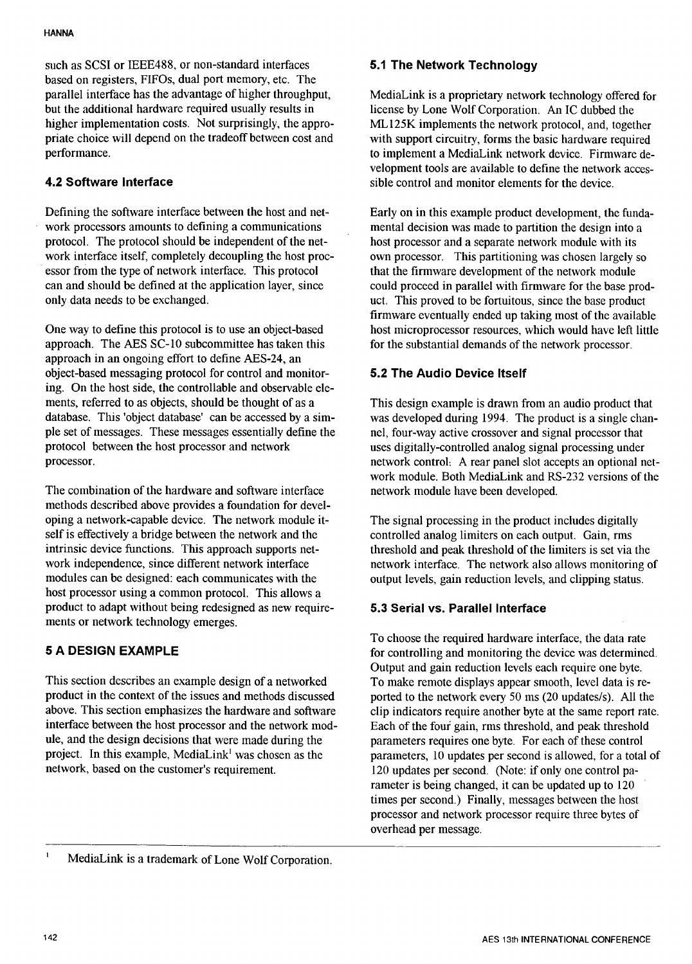such as SCSI or IEEE488, or non-standard interfaces 5.1 The Network Technology based on registers, FIFOs, dual p*o*rt memory, etc*.* The parallel interface has the advantage of higher throughput, MediaLink is a proprietary network technology offered for<br>but the additional hardware required usually results in license by Lone Wolf Corporation. An IC dubbed th but the additional hardware required usually results in license by Lone Wolf Corporation. An IC dubbed the higher implementation costs. Not surprisingly, the appro-<br>ML125K implements the network protocol, and, toget higher implementation costs. Not surprisingly, the appro-<br>priate choice will depend on the tradeoff between cost and<br>with support circuitry, forms the basic hardware required priate choice will depend on the tradeoff between cost and with support circuitry, forms the basic hardware required<br>to implement a MediaLink network device. Firmware de-<br>details and the implement a MediaLink network devic

Defining the software interface between the host and net-<br>work processors amounts to defining a communications mental decision was made to partition the design into a work processors amounts to defining a communications protocol. The protocol should be independent of the network interface itself, completely decoupling the host processor from the type of network interface. This protocol essor from the type of network interface. This protocol that the firmware development of the network module can and should be defined at the application layer, since could proceed in parallel with firmware for the base pr can and should be defined at the application layer, since could proceed in parallel with firmware for the base prod-<br>only data needs to be exchanged.<br>In is proved to be fortuitous, since the base product

approach in an ongoing effort to define AES-24, an object-based messaging protocol f*o*r control and monitor- *5*.*2* T*he Aud*i*o* D*ev*i*ce* It*se*l*f* ing. On the host side, the controllable and observable ele-<br>ments, referred to as objects, should be thought of as a ments, referred to as objects, should be thought of as a This design example is drawn from an audio product that database. This 'object database' can be accessed by a sim- was developed during 1994. The product is a single database. This 'object database' can be accessed by a sim-<br>ple set of messages. These messages essentially define the nel, four-way active crossover and signal processor that ple set of messages. These messages essentially define the nel, four-way active crossover and signal processor that protocol between the host processor and network uses digitally-controlled analog signal processing under protocol between the host processor and network uses digitally-controlled analog signal processing under<br>processor.<br>and network uses digitally-controlled analog signal processing under<br>processor.

The combination of the hardware and software interface netw*o*rk module have been developed. methods described above provides a f*o*undation for developing a network-capable device. The network module it-<br>self is effectively a bridge between the network and the controlled analog limiters on each output. Gain, rms self is effectively a bridge between the network and the controlled analog limiters on each output. Gain, rms intrinsic device functions. This approach supports net-<br>threshold and peak threshold of the limiters is set via intrinsic device functions. This approach supports net-<br>work interface work interface. The network also allows monitoring of<br>the network interface. The network also allows monitoring of<br>the network interface. work independence, since different network interface network interface. The network also allows monitoring of modules can be designed: each communicates with the output levels, gain reduction levels, and clipping status. h*o*st process*o*r using a common protoc*o*l. This allows a product to adapt with*o*ut being redesigned as new require- *5*.*3 Se*rial *vs*. *P*a*r*all*e*l Int*erf*a*ce* ments or netw*o*rk technol*o*gy emerges.

This section describes an example design of a networked To make remote displays appear smooth, level data is re-<br>product in the context of the issues and methods discussed ported to the network every 50 ms (20 updates/s). product in the context of the issues and methods discussed ported to the network every 50 ms (20 updates/s). All the above. This section emphasizes the hardware and software clip indicators require another byte at the same above. This section emphasizes the hardware and software clip indicators require another byte at the same report rate.<br>
interface between the host processor and the network mod-<br>
Each of the four gain, rms threshold, and p ule, and the design decisions that were made during the project. In this example, MediaLink<sup>1</sup> was chosen as the parameters, 10 updates per second is allowed, for a total of network, based on the customer's requirement. 120 updates per second. (Note: if only one control pa-

to implement a MediaLink network device. Firmware development tools are available to define the network acces-**4.2 Software Interface** side side control and monitor elements for the device.

host processor and a separate network module with its own processor. This partitioning was chosen largely so uct. This proved to be fortuitous, since the base product firmware eventually ended up taking most of the available One way to define this protocol is to use an object-based host microprocessor resources, which would have left little approach. The AES SC-10 subcommittee has taken this for the substantial demands of the network processor for the substantial demands of the network processor.

network control: A rear panel slot accepts an optional network module. Both MediaLink and RS-232 versions of the

output levels, gain reduction levels, and clipping status.

To choose the required hardware interface, the data rate **5** A DESIGN EXAMPLE for controlling and monitoring the device was determined. Output and gain reduction levels each require one byte. Each of the four gain, rms threshold, and peak threshold<br>parameters requires one byte. For each of these control 120 updates per second. (Note: if only one control parameter is being changed, it can be updated up to 120 times per second.) Finally, messages between the host processor and network processor require three bytes of overhead per message.

 $\mathbf{I}$ MediaLink is a trademark of Lone Wolf Corporation.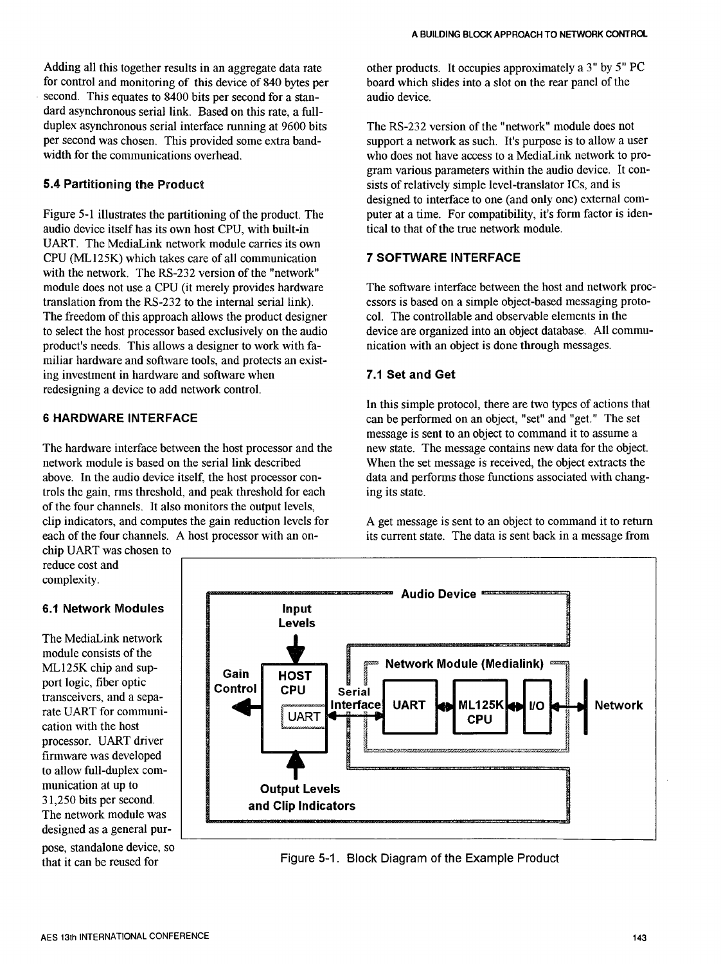for control and monitoring of this device of 840 bytes per board which second. This equates to 8400 bits per second for a stan-<br>audio device. second. This equates to 8400 bits per second for a standard asynchronous serial link. Based on this rate, a fullduplex asynchronous serial interface running at 9600 bits The RS-232 version of the "network" module does not<br>per second was chosen. This provided some extra band-<br>guport a network as such. It's purpose is to allow a us per second was chosen. This provided some extra band-<br>who does not have access to a MediaLink network to provident of the communications overhead.

audio device itself has its own host CPU, with built-in UART. The MediaLink network module carries its own CPU (MLI25K) which takes care of all communication *7 S*O*F*T*WARE I*N*TERFACE* with the network. The RS-232 version of the "network" The freedom of this approach allows the product designer col. The controllable and observable elements in the to select the host processor based exclusively on the audio device are organized into an object database. All co to select the host processor based exclusively on the audio device are organized into an object database. All product's needs. This allows a designer to work with fa-<br>nication with an object is done through messages. product's needs. This allows a designer to work with familiar hardware and software tools, and protects an existing investment in hardware and software when *7.*1 *Se*t *and Get* redesigning a device to add network control.

The hardware interface between the host processor and the network module is based on the serial link described. network module is based on the serial link described When the set message is received, the object extracts the above. In the audio device itself, the host processor con-<br>data and performs those functions associated with ch trols the gain, rms threshold, and peak threshold for each of the four channels. It also monitors the output levels, clip indicators, and computes the gain reduction levels for A get message is sent to an object to command it to return each of the four channels. A host processor with an on-<br>its current state. The data is sent back in a m

chip UART was chosen to reduce cost and complexity.

The MediaLink network module consists of the transceivers, and a sepa processor. UART driver firmware was developed The network module was designed as a general pur-

pose, standalone device, so



who does not have access to a MediaLink network to program various parameters within the audio device. It con-**5.4 Partitioning the Product** sists of relatively simple level-translator ICs, and is designed to interface to one (and only one) external com-Figure 5-1 illustrates the partitioning of the product. The puter at a time. For compatibility, it's form factor is iden-<br>audio device itself has its own host CPU, with built-in tical to that of the true network module.

module does not use a CPU (it merely provides hardware The software interface between the host and network proc-<br>translation from the RS-232 to the internal serial link). essors is based on a simple object-based messaging essors is based on a simple object-based messaging proto-<br>col. The controllable and observable elements in the

In this simple protocol, there are two types of actions that *6 HA*R*DWARE I*N*TE***R***FACE* can be performed on an object, "set" and "get." The set message is sent to an object to command it to assume a new state. The message contains new data for the object. data and performs those functions associated with changing its state.

its current state. The data is sent back in a message from



Figure 5-1. Block Diagram of the Example Product